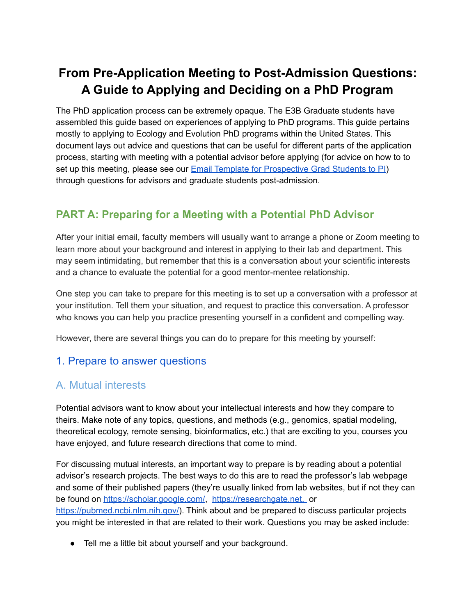# **From Pre-Application Meeting to Post-Admission Questions: A Guide to Applying and Deciding on a PhD Program**

The PhD application process can be extremely opaque. The E3B Graduate students have assembled this guide based on experiences of applying to PhD programs. This guide pertains mostly to applying to Ecology and Evolution PhD programs within the United States. This document lays out advice and questions that can be useful for different parts of the application process, starting with meeting with a potential advisor before applying (for advice on how to to set up this meeting, please see our Email Template for [Prospective](https://docs.google.com/document/d/1gIAi-KRU_bMAgmVL5R1nMVb73Kw9CLMlezPIDfbg4DQ/edit?pli=1) Grad Students to PI) through questions for advisors and graduate students post-admission.

## **PART A: Preparing for a Meeting with a Potential PhD Advisor**

After your initial email, faculty members will usually want to arrange a phone or Zoom meeting to learn more about your background and interest in applying to their lab and department. This may seem intimidating, but remember that this is a conversation about your scientific interests and a chance to evaluate the potential for a good mentor-mentee relationship.

One step you can take to prepare for this meeting is to set up a conversation with a professor at your institution. Tell them your situation, and request to practice this conversation. A professor who knows you can help you practice presenting yourself in a confident and compelling way.

However, there are several things you can do to prepare for this meeting by yourself:

#### 1. Prepare to answer questions

#### A. Mutual interests

Potential advisors want to know about your intellectual interests and how they compare to theirs. Make note of any topics, questions, and methods (e.g., genomics, spatial modeling, theoretical ecology, remote sensing, bioinformatics, etc.) that are exciting to you, courses you have enjoyed, and future research directions that come to mind.

For discussing mutual interests, an important way to prepare is by reading about a potential advisor's research projects. The best ways to do this are to read the professor's lab webpage and some of their published papers (they're usually linked from lab websites, but if not they can be found on [https://scholar.google.com/,](https://scholar.google.com/) [https://researchgate.net,](https://researchgate.net) or <https://pubmed.ncbi.nlm.nih.gov/>). Think about and be prepared to discuss particular projects you might be interested in that are related to their work. Questions you may be asked include:

● Tell me a little bit about yourself and your background.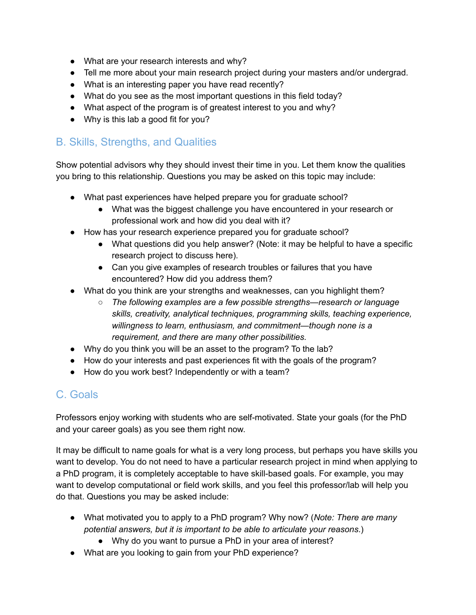- What are your research interests and why?
- Tell me more about your main research project during your masters and/or undergrad.
- What is an interesting paper you have read recently?
- What do you see as the most important questions in this field today?
- What aspect of the program is of greatest interest to you and why?
- Why is this lab a good fit for you?

### B. Skills, Strengths, and Qualities

Show potential advisors why they should invest their time in you. Let them know the qualities you bring to this relationship. Questions you may be asked on this topic may include:

- What past experiences have helped prepare you for graduate school?
	- What was the biggest challenge you have encountered in your research or professional work and how did you deal with it?
- How has your research experience prepared you for graduate school?
	- What questions did you help answer? (Note: it may be helpful to have a specific research project to discuss here).
	- Can you give examples of research troubles or failures that you have encountered? How did you address them?
- What do you think are your strengths and weaknesses, can you highlight them?
	- *○ The following examples are a few possible strengths—research or language skills, creativity, analytical techniques, programming skills, teaching experience, willingness to learn, enthusiasm, and commitment—though none is a requirement, and there are many other possibilities.*
- Why do you think you will be an asset to the program? To the lab?
- How do your interests and past experiences fit with the goals of the program?
- How do you work best? Independently or with a team?

# C. Goals

Professors enjoy working with students who are self-motivated. State your goals (for the PhD and your career goals) as you see them right now.

It may be difficult to name goals for what is a very long process, but perhaps you have skills you want to develop. You do not need to have a particular research project in mind when applying to a PhD program, it is completely acceptable to have skill-based goals. For example, you may want to develop computational or field work skills, and you feel this professor/lab will help you do that. Questions you may be asked include:

- What motivated you to apply to a PhD program? Why now? (*Note: There are many potential answers, but it is important to be able to articulate your reasons*.)
	- Why do you want to pursue a PhD in your area of interest?
- What are you looking to gain from your PhD experience?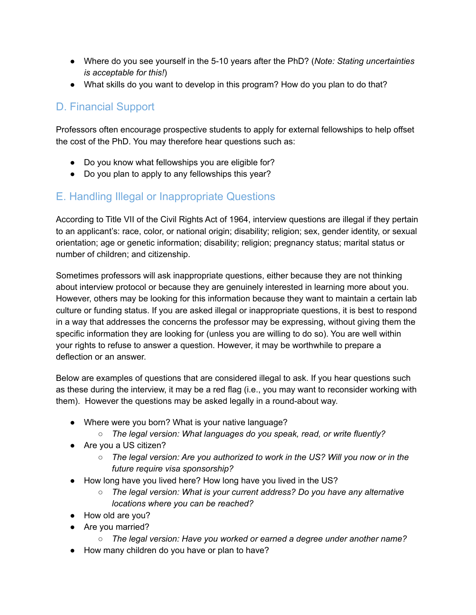- Where do you see yourself in the 5-10 years after the PhD? (*Note: Stating uncertainties is acceptable for this!*)
- What skills do you want to develop in this program? How do you plan to do that?

## D. Financial Support

Professors often encourage prospective students to apply for external fellowships to help offset the cost of the PhD. You may therefore hear questions such as:

- Do you know what fellowships you are eligible for?
- Do you plan to apply to any fellowships this year?

#### E. Handling Illegal or Inappropriate Questions

According to Title VII of the Civil Rights Act of 1964, interview questions are illegal if they pertain to an applicant's: race, color, or national origin; disability; religion; sex, gender identity, or sexual orientation; age or genetic information; disability; religion; pregnancy status; marital status or number of children; and citizenship.

Sometimes professors will ask inappropriate questions, either because they are not thinking about interview protocol or because they are genuinely interested in learning more about you. However, others may be looking for this information because they want to maintain a certain lab culture or funding status. If you are asked illegal or inappropriate questions, it is best to respond in a way that addresses the concerns the professor may be expressing, without giving them the specific information they are looking for (unless you are willing to do so). You are well within your rights to refuse to answer a question. However, it may be worthwhile to prepare a deflection or an answer.

Below are examples of questions that are considered illegal to ask. If you hear questions such as these during the interview, it may be a red flag (i.e., you may want to reconsider working with them). However the questions may be asked legally in a round-about way.

- Where were you born? What is your native language?
	- *○ The legal version: What languages do you speak, read, or write fluently?*
- Are you a US citizen?
	- *○ The legal version: Are you authorized to work in the US? Will you now or in the future require visa sponsorship?*
- How long have you lived here? How long have you lived in the US?
	- *○ The legal version: What is your current address? Do you have any alternative locations where you can be reached?*
- How old are you?
- Are you married?
	- *○ The legal version: Have you worked or earned a degree under another name?*
- How many children do you have or plan to have?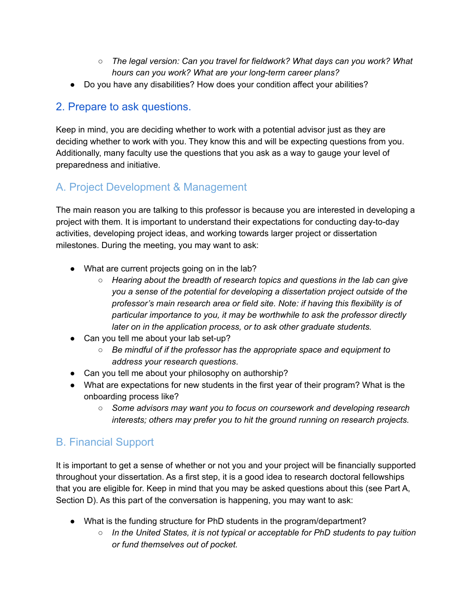- *○ The legal version: Can you travel for fieldwork? What days can you work? What hours can you work? What are your long-term career plans?*
- Do you have any disabilities? How does your condition affect your abilities?

## 2. Prepare to ask questions.

Keep in mind, you are deciding whether to work with a potential advisor just as they are deciding whether to work with you. They know this and will be expecting questions from you. Additionally, many faculty use the questions that you ask as a way to gauge your level of preparedness and initiative.

# A. Project Development & Management

The main reason you are talking to this professor is because you are interested in developing a project with them. It is important to understand their expectations for conducting day-to-day activities, developing project ideas, and working towards larger project or dissertation milestones. During the meeting, you may want to ask:

- What are current projects going on in the lab?
	- *Hearing about the breadth of research topics and questions in the lab can give you a sense of the potential for developing a dissertation project outside of the professor's main research area or field site. Note: if having this flexibility is of particular importance to you, it may be worthwhile to ask the professor directly later on in the application process, or to ask other graduate students.*
- Can you tell me about your lab set-up?
	- *Be mindful of if the professor has the appropriate space and equipment to address your research questions*.
- Can you tell me about your philosophy on authorship?
- What are expectations for new students in the first year of their program? What is the onboarding process like?
	- *Some advisors may want you to focus on coursework and developing research interests; others may prefer you to hit the ground running on research projects.*

# B. Financial Support

It is important to get a sense of whether or not you and your project will be financially supported throughout your dissertation. As a first step, it is a good idea to research doctoral fellowships that you are eligible for. Keep in mind that you may be asked questions about this (see Part A, Section D). As this part of the conversation is happening, you may want to ask:

- What is the funding structure for PhD students in the program/department?
	- *In the United States, it is not typical or acceptable for PhD students to pay tuition or fund themselves out of pocket.*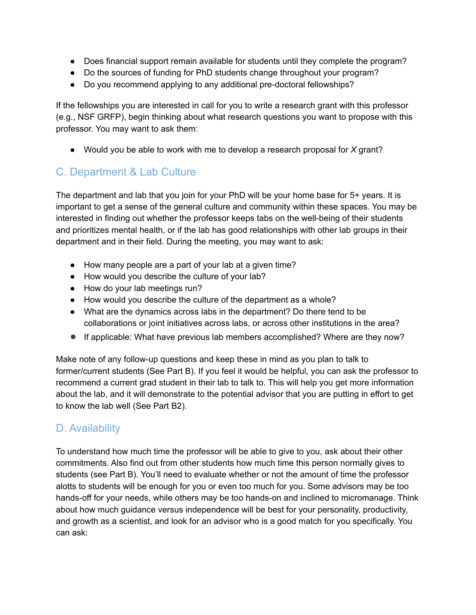- Does financial support remain available for students until they complete the program?
- Do the sources of funding for PhD students change throughout your program?
- Do you recommend applying to any additional pre-doctoral fellowships?

If the fellowships you are interested in call for you to write a research grant with this professor (e.g., NSF GRFP), begin thinking about what research questions you want to propose with this professor. You may want to ask them:

● Would you be able to work with me to develop a research proposal for *X* grant?

## C. Department & Lab Culture

The department and lab that you join for your PhD will be your home base for 5+ years. It is important to get a sense of the general culture and community within these spaces. You may be interested in finding out whether the professor keeps tabs on the well-being of their students and prioritizes mental health, or if the lab has good relationships with other lab groups in their department and in their field. During the meeting, you may want to ask:

- How many people are a part of your lab at a given time?
- How would you describe the culture of your lab?
- How do your lab meetings run?
- How would you describe the culture of the department as a whole?
- What are the dynamics across labs in the department? Do there tend to be collaborations or joint initiatives across labs, or across other institutions in the area?
- If applicable: What have previous lab members accomplished? Where are they now?

Make note of any follow-up questions and keep these in mind as you plan to talk to former/current students (See Part B). If you feel it would be helpful, you can ask the professor to recommend a current grad student in their lab to talk to. This will help you get more information about the lab, and it will demonstrate to the potential advisor that you are putting in effort to get to know the lab well (See Part B2).

## D. Availability

To understand how much time the professor will be able to give to you, ask about their other commitments. Also find out from other students how much time this person normally gives to students (see Part B). You'll need to evaluate whether or not the amount of time the professor alotts to students will be enough for you or even too much for you. Some advisors may be too hands-off for your needs, while others may be too hands-on and inclined to micromanage. Think about how much guidance versus independence will be best for your personality, productivity, and growth as a scientist, and look for an advisor who is a good match for you specifically. You can ask: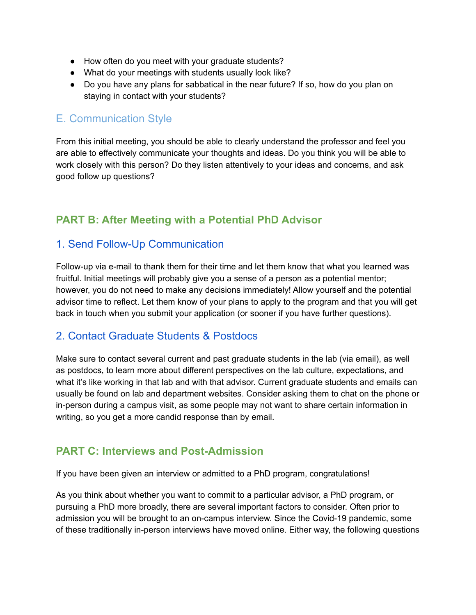- How often do you meet with your graduate students?
- What do your meetings with students usually look like?
- Do you have any plans for sabbatical in the near future? If so, how do you plan on staying in contact with your students?

#### E. Communication Style

From this initial meeting, you should be able to clearly understand the professor and feel you are able to effectively communicate your thoughts and ideas. Do you think you will be able to work closely with this person? Do they listen attentively to your ideas and concerns, and ask good follow up questions?

#### **PART B: After Meeting with a Potential PhD Advisor**

#### 1. Send Follow-Up Communication

Follow-up via e-mail to thank them for their time and let them know that what you learned was fruitful. Initial meetings will probably give you a sense of a person as a potential mentor; however, you do not need to make any decisions immediately! Allow yourself and the potential advisor time to reflect. Let them know of your plans to apply to the program and that you will get back in touch when you submit your application (or sooner if you have further questions).

#### 2. Contact Graduate Students & Postdocs

Make sure to contact several current and past graduate students in the lab (via email), as well as postdocs, to learn more about different perspectives on the lab culture, expectations, and what it's like working in that lab and with that advisor. Current graduate students and emails can usually be found on lab and department websites. Consider asking them to chat on the phone or in-person during a campus visit, as some people may not want to share certain information in writing, so you get a more candid response than by email.

#### **PART C: Interviews and Post-Admission**

If you have been given an interview or admitted to a PhD program, congratulations!

As you think about whether you want to commit to a particular advisor, a PhD program, or pursuing a PhD more broadly, there are several important factors to consider. Often prior to admission you will be brought to an on-campus interview. Since the Covid-19 pandemic, some of these traditionally in-person interviews have moved online. Either way, the following questions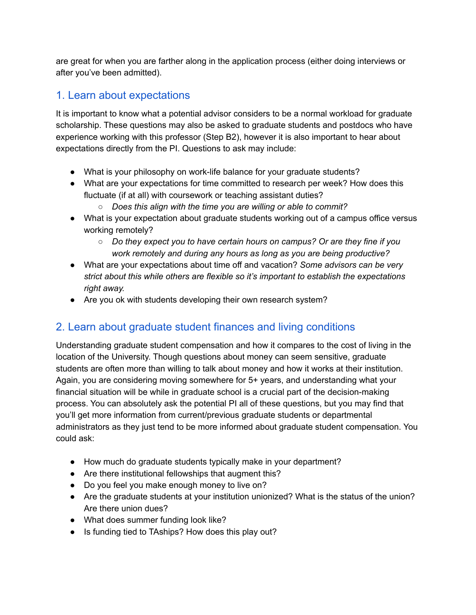are great for when you are farther along in the application process (either doing interviews or after you've been admitted).

## 1. Learn about expectations

It is important to know what a potential advisor considers to be a normal workload for graduate scholarship. These questions may also be asked to graduate students and postdocs who have experience working with this professor (Step B2), however it is also important to hear about expectations directly from the PI. Questions to ask may include:

- What is your philosophy on work-life balance for your graduate students?
- What are your expectations for time committed to research per week? How does this fluctuate (if at all) with coursework or teaching assistant duties?
	- *○ Does this align with the time you are willing or able to commit?*
- What is your expectation about graduate students working out of a campus office versus working remotely?
	- *○ Do they expect you to have certain hours on campus? Or are they fine if you work remotely and during any hours as long as you are being productive?*
- What are your expectations about time off and vacation? *Some advisors can be very strict about this while others are flexible so it's important to establish the expectations right away.*
- Are you ok with students developing their own research system?

# 2. Learn about graduate student finances and living conditions

Understanding graduate student compensation and how it compares to the cost of living in the location of the University. Though questions about money can seem sensitive, graduate students are often more than willing to talk about money and how it works at their institution. Again, you are considering moving somewhere for 5+ years, and understanding what your financial situation will be while in graduate school is a crucial part of the decision-making process. You can absolutely ask the potential PI all of these questions, but you may find that you'll get more information from current/previous graduate students or departmental administrators as they just tend to be more informed about graduate student compensation. You could ask:

- How much do graduate students typically make in your department?
- Are there institutional fellowships that augment this?
- Do you feel you make enough money to live on?
- Are the graduate students at your institution unionized? What is the status of the union? Are there union dues?
- What does summer funding look like?
- Is funding tied to TAships? How does this play out?